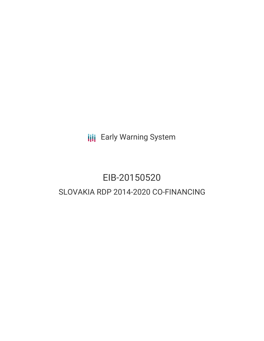**III** Early Warning System

# EIB-20150520 SLOVAKIA RDP 2014-2020 CO-FINANCING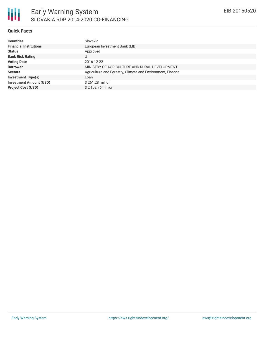#### **Quick Facts**

| <b>Countries</b>               | Slovakia                                                   |
|--------------------------------|------------------------------------------------------------|
| <b>Financial Institutions</b>  | European Investment Bank (EIB)                             |
| <b>Status</b>                  | Approved                                                   |
| <b>Bank Risk Rating</b>        | U                                                          |
| <b>Voting Date</b>             | 2016-12-22                                                 |
| <b>Borrower</b>                | MINISTRY OF AGRICULTURE AND RURAL DEVELOPMENT              |
| <b>Sectors</b>                 | Agriculture and Forestry, Climate and Environment, Finance |
| <b>Investment Type(s)</b>      | Loan                                                       |
| <b>Investment Amount (USD)</b> | \$261.28 million                                           |
| <b>Project Cost (USD)</b>      | \$2.102.76 million                                         |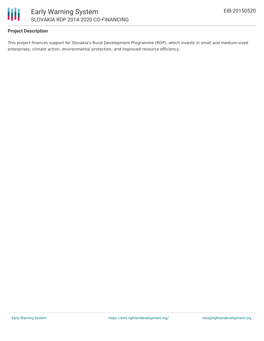

# **Project Description**

This project finances support for Slovakia's Rural Development Programme (RDP), which invests in small and medium-sized enterprises, climate action, environmental protection, and improved resource efficiency.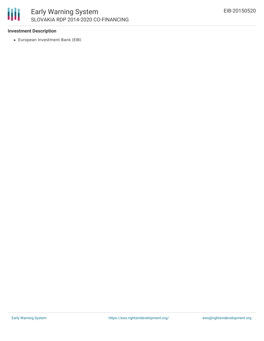

# **Investment Description**

European Investment Bank (EIB)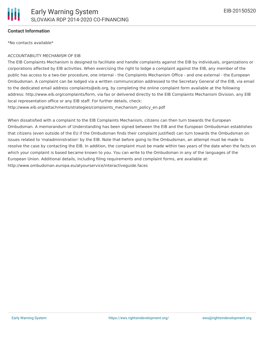

## **Contact Information**

\*No contacts available\*

#### ACCOUNTABILITY MECHANISM OF EIB

The EIB Complaints Mechanism is designed to facilitate and handle complaints against the EIB by individuals, organizations or corporations affected by EIB activities. When exercising the right to lodge a complaint against the EIB, any member of the public has access to a two-tier procedure, one internal - the Complaints Mechanism Office - and one external - the European Ombudsman. A complaint can be lodged via a written communication addressed to the Secretary General of the EIB, via email to the dedicated email address complaints@eib.org, by completing the online complaint form available at the following address: http://www.eib.org/complaints/form, via fax or delivered directly to the EIB Complaints Mechanism Division, any EIB local representation office or any EIB staff. For further details, check:

http://www.eib.org/attachments/strategies/complaints\_mechanism\_policy\_en.pdf

When dissatisfied with a complaint to the EIB Complaints Mechanism, citizens can then turn towards the European Ombudsman. A memorandum of Understanding has been signed between the EIB and the European Ombudsman establishes that citizens (even outside of the EU if the Ombudsman finds their complaint justified) can turn towards the Ombudsman on issues related to 'maladministration' by the EIB. Note that before going to the Ombudsman, an attempt must be made to resolve the case by contacting the EIB. In addition, the complaint must be made within two years of the date when the facts on which your complaint is based became known to you. You can write to the Ombudsman in any of the languages of the European Union. Additional details, including filing requirements and complaint forms, are available at: http://www.ombudsman.europa.eu/atyourservice/interactiveguide.faces